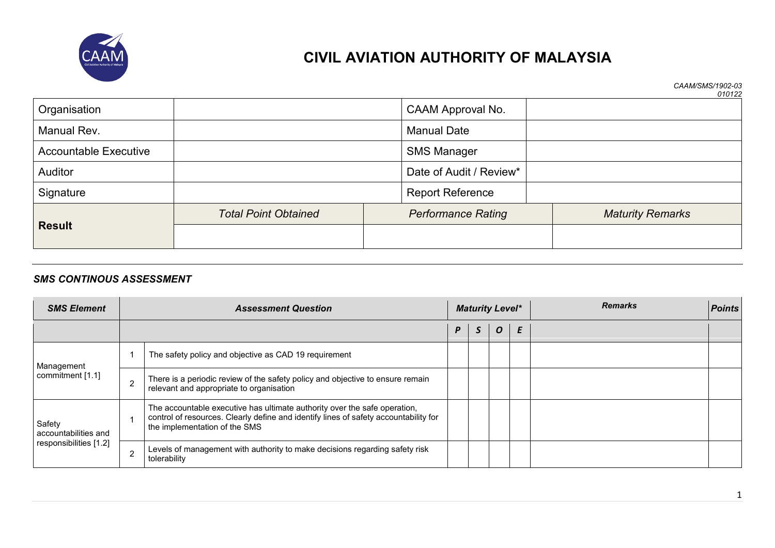

*CAAM/SMS/1902-03 010122*

| Organisation                 |                             | <b>CAAM Approval No.</b>  |                         |  |  |  |
|------------------------------|-----------------------------|---------------------------|-------------------------|--|--|--|
| Manual Rev.                  |                             | <b>Manual Date</b>        |                         |  |  |  |
| <b>Accountable Executive</b> |                             | <b>SMS Manager</b>        |                         |  |  |  |
| <b>Auditor</b>               |                             | Date of Audit / Review*   |                         |  |  |  |
| Signature                    |                             | <b>Report Reference</b>   |                         |  |  |  |
|                              | <b>Total Point Obtained</b> | <b>Performance Rating</b> | <b>Maturity Remarks</b> |  |  |  |
| <b>Result</b>                |                             |                           |                         |  |  |  |

#### *SMS CONTINOUS ASSESSMENT*

| <b>SMS Element</b>                                       |                | <b>Assessment Question</b>                                                                                                                                                                         |   | <b>Maturity Level*</b> |                  | <b>Remarks</b> | Points |
|----------------------------------------------------------|----------------|----------------------------------------------------------------------------------------------------------------------------------------------------------------------------------------------------|---|------------------------|------------------|----------------|--------|
|                                                          |                |                                                                                                                                                                                                    | P | э                      | $\boldsymbol{O}$ |                |        |
| Management                                               |                | The safety policy and objective as CAD 19 requirement                                                                                                                                              |   |                        |                  |                |        |
| commitment [1.1]                                         | $\overline{2}$ | There is a periodic review of the safety policy and objective to ensure remain<br>relevant and appropriate to organisation                                                                         |   |                        |                  |                |        |
| Safety<br>accountabilities and<br>responsibilities [1.2] |                | The accountable executive has ultimate authority over the safe operation,<br>control of resources. Clearly define and identify lines of safety accountability for<br>the implementation of the SMS |   |                        |                  |                |        |
|                                                          | $\overline{2}$ | Levels of management with authority to make decisions regarding safety risk<br>tolerability                                                                                                        |   |                        |                  |                |        |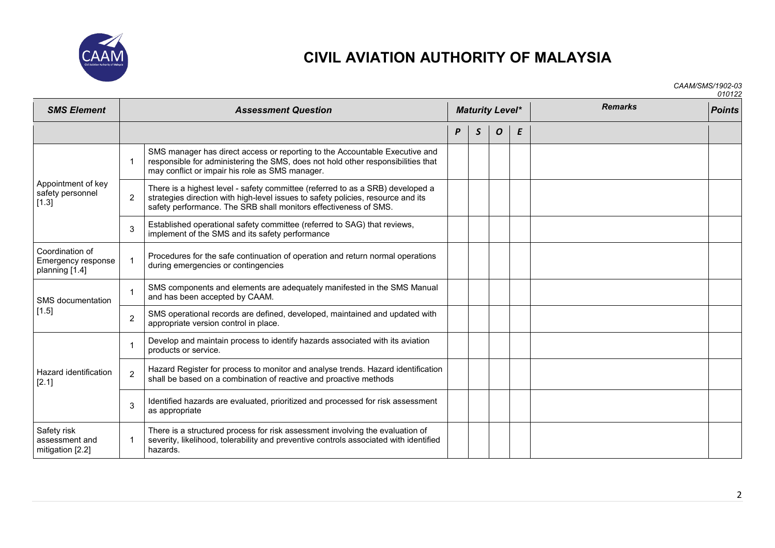

*CAAM/SMS/1902-03*

| <b>SMS Element</b>                                      |                | <b>Assessment Question</b>                                                                                                                                                                                                             | <b>Maturity Level*</b> | <b>Remarks</b> | <b>Points</b> |   |  |  |
|---------------------------------------------------------|----------------|----------------------------------------------------------------------------------------------------------------------------------------------------------------------------------------------------------------------------------------|------------------------|----------------|---------------|---|--|--|
|                                                         |                |                                                                                                                                                                                                                                        | P                      | S              | 0             | E |  |  |
|                                                         | $\mathbf{1}$   | SMS manager has direct access or reporting to the Accountable Executive and<br>responsible for administering the SMS, does not hold other responsibilities that<br>may conflict or impair his role as SMS manager.                     |                        |                |               |   |  |  |
| Appointment of key<br>safety personnel<br>[1.3]         | $\overline{2}$ | There is a highest level - safety committee (referred to as a SRB) developed a<br>strategies direction with high-level issues to safety policies, resource and its<br>safety performance. The SRB shall monitors effectiveness of SMS. |                        |                |               |   |  |  |
|                                                         | 3              | Established operational safety committee (referred to SAG) that reviews,<br>implement of the SMS and its safety performance                                                                                                            |                        |                |               |   |  |  |
| Coordination of<br>Emergency response<br>planning [1.4] | $\mathbf{1}$   | Procedures for the safe continuation of operation and return normal operations<br>during emergencies or contingencies                                                                                                                  |                        |                |               |   |  |  |
| SMS documentation<br>[1.5]                              | 1              | SMS components and elements are adequately manifested in the SMS Manual<br>and has been accepted by CAAM.                                                                                                                              |                        |                |               |   |  |  |
|                                                         | $\overline{c}$ | SMS operational records are defined, developed, maintained and updated with<br>appropriate version control in place.                                                                                                                   |                        |                |               |   |  |  |
|                                                         | $\mathbf{1}$   | Develop and maintain process to identify hazards associated with its aviation<br>products or service.                                                                                                                                  |                        |                |               |   |  |  |
| Hazard identification<br>[2.1]                          | $\overline{2}$ | Hazard Register for process to monitor and analyse trends. Hazard identification<br>shall be based on a combination of reactive and proactive methods                                                                                  |                        |                |               |   |  |  |
|                                                         | 3              | Identified hazards are evaluated, prioritized and processed for risk assessment<br>as appropriate                                                                                                                                      |                        |                |               |   |  |  |
| Safety risk<br>assessment and<br>mitigation [2.2]       | 1              | There is a structured process for risk assessment involving the evaluation of<br>severity, likelihood, tolerability and preventive controls associated with identified<br>hazards.                                                     |                        |                |               |   |  |  |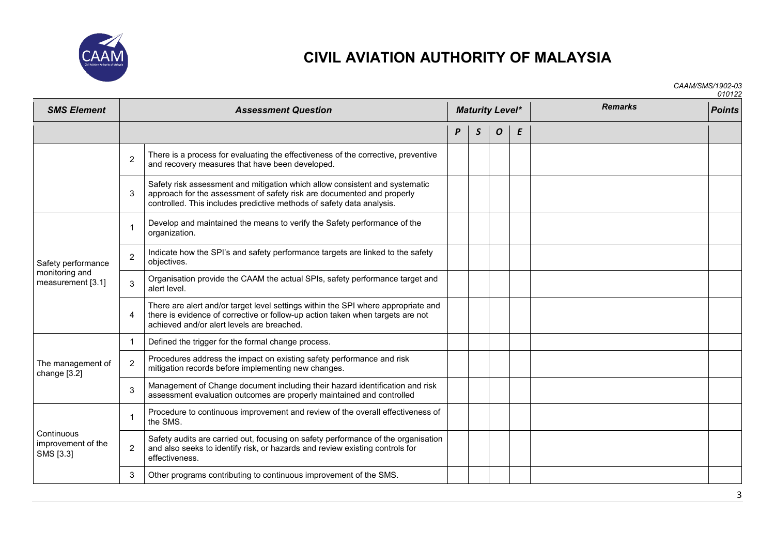

*CAAM/SMS/1902-03*

*010122*

| <b>SMS Element</b>                                        | <b>Assessment Question</b> |                                                                                                                                                                                                                                |   |              |   | <b>Maturity Level*</b> | <b>Remarks</b> | <b>Points</b> |
|-----------------------------------------------------------|----------------------------|--------------------------------------------------------------------------------------------------------------------------------------------------------------------------------------------------------------------------------|---|--------------|---|------------------------|----------------|---------------|
|                                                           |                            |                                                                                                                                                                                                                                | P | $\mathsf{S}$ | 0 | E                      |                |               |
|                                                           | $\overline{2}$             | There is a process for evaluating the effectiveness of the corrective, preventive<br>and recovery measures that have been developed.                                                                                           |   |              |   |                        |                |               |
|                                                           | 3                          | Safety risk assessment and mitigation which allow consistent and systematic<br>approach for the assessment of safety risk are documented and properly<br>controlled. This includes predictive methods of safety data analysis. |   |              |   |                        |                |               |
|                                                           | $\mathbf{1}$               | Develop and maintained the means to verify the Safety performance of the<br>organization.                                                                                                                                      |   |              |   |                        |                |               |
| Safety performance<br>monitoring and<br>measurement [3.1] | $\overline{c}$             | Indicate how the SPI's and safety performance targets are linked to the safety<br>objectives.                                                                                                                                  |   |              |   |                        |                |               |
|                                                           | 3                          | Organisation provide the CAAM the actual SPIs, safety performance target and<br>alert level.                                                                                                                                   |   |              |   |                        |                |               |
|                                                           | 4                          | There are alert and/or target level settings within the SPI where appropriate and<br>there is evidence of corrective or follow-up action taken when targets are not<br>achieved and/or alert levels are breached.              |   |              |   |                        |                |               |
|                                                           | $\mathbf{1}$               | Defined the trigger for the formal change process.                                                                                                                                                                             |   |              |   |                        |                |               |
| The management of<br>change [3.2]                         | $\overline{2}$             | Procedures address the impact on existing safety performance and risk<br>mitigation records before implementing new changes.                                                                                                   |   |              |   |                        |                |               |
|                                                           | 3                          | Management of Change document including their hazard identification and risk<br>assessment evaluation outcomes are properly maintained and controlled                                                                          |   |              |   |                        |                |               |
| Continuous<br>improvement of the<br>SMS [3.3]             | $\mathbf 1$                | Procedure to continuous improvement and review of the overall effectiveness of<br>the SMS.                                                                                                                                     |   |              |   |                        |                |               |
|                                                           | $\overline{c}$             | Safety audits are carried out, focusing on safety performance of the organisation<br>and also seeks to identify risk, or hazards and review existing controls for<br>effectiveness.                                            |   |              |   |                        |                |               |
|                                                           | 3                          | Other programs contributing to continuous improvement of the SMS.                                                                                                                                                              |   |              |   |                        |                |               |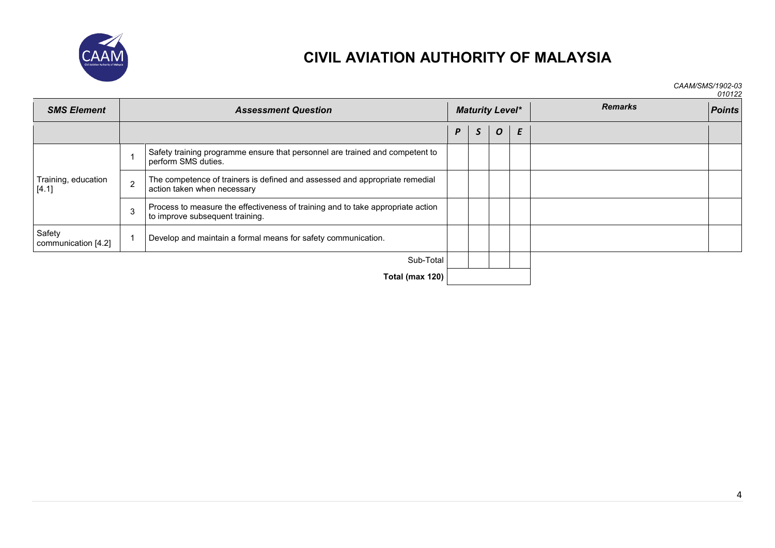

*CAAM/SMS/1902-03 010122*

| <b>SMS Element</b>            |               | <b>Assessment Question</b>                                                                                         | <b>Maturity Level*</b> | <b>Remarks</b> | <b>Points</b>    |   |  |  |
|-------------------------------|---------------|--------------------------------------------------------------------------------------------------------------------|------------------------|----------------|------------------|---|--|--|
|                               |               |                                                                                                                    | P                      | $\mathsf S$    | $\boldsymbol{o}$ | E |  |  |
|                               |               | Safety training programme ensure that personnel are trained and competent to<br>perform SMS duties.                |                        |                |                  |   |  |  |
| Training, education<br>[4.1]  | $\mathcal{P}$ | The competence of trainers is defined and assessed and appropriate remedial<br>action taken when necessary         |                        |                |                  |   |  |  |
|                               | 3             | Process to measure the effectiveness of training and to take appropriate action<br>to improve subsequent training. |                        |                |                  |   |  |  |
| Safety<br>communication [4.2] |               | Develop and maintain a formal means for safety communication.                                                      |                        |                |                  |   |  |  |
|                               |               | Sub-Total                                                                                                          |                        |                |                  |   |  |  |
|                               |               | Total (max 120)                                                                                                    |                        |                |                  |   |  |  |